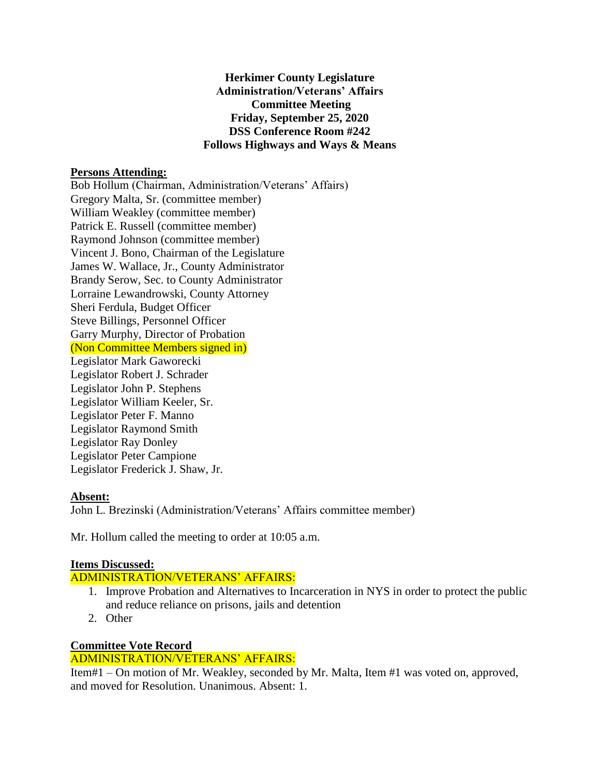#### **Herkimer County Legislature Administration/Veterans' Affairs Committee Meeting Friday, September 25, 2020 DSS Conference Room #242 Follows Highways and Ways & Means**

#### **Persons Attending:**

Bob Hollum (Chairman, Administration/Veterans' Affairs) Gregory Malta, Sr. (committee member) William Weakley (committee member) Patrick E. Russell (committee member) Raymond Johnson (committee member) Vincent J. Bono, Chairman of the Legislature James W. Wallace, Jr., County Administrator Brandy Serow, Sec. to County Administrator Lorraine Lewandrowski, County Attorney Sheri Ferdula, Budget Officer Steve Billings, Personnel Officer Garry Murphy, Director of Probation (Non Committee Members signed in) Legislator Mark Gaworecki Legislator Robert J. Schrader Legislator John P. Stephens Legislator William Keeler, Sr. Legislator Peter F. Manno Legislator Raymond Smith Legislator Ray Donley Legislator Peter Campione Legislator Frederick J. Shaw, Jr.

#### **Absent:**

John L. Brezinski (Administration/Veterans' Affairs committee member)

Mr. Hollum called the meeting to order at 10:05 a.m.

# **Items Discussed:**

ADMINISTRATION/VETERANS' AFFAIRS:

- 1. Improve Probation and Alternatives to Incarceration in NYS in order to protect the public and reduce reliance on prisons, jails and detention
- 2. Other

# **Committee Vote Record**

# ADMINISTRATION/VETERANS' AFFAIRS:

Item#1 – On motion of Mr. Weakley, seconded by Mr. Malta, Item #1 was voted on, approved, and moved for Resolution. Unanimous. Absent: 1.